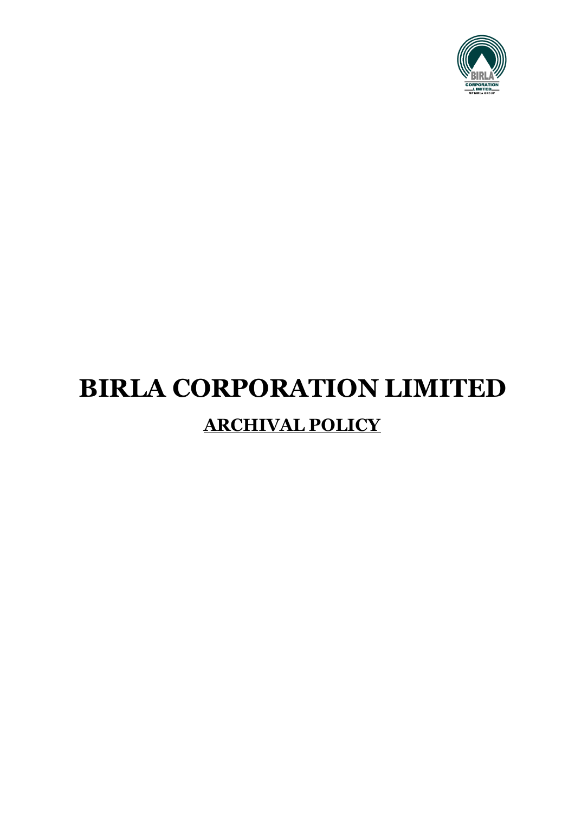

# **BIRLA CORPORATION LIMITED ARCHIVAL POLICY**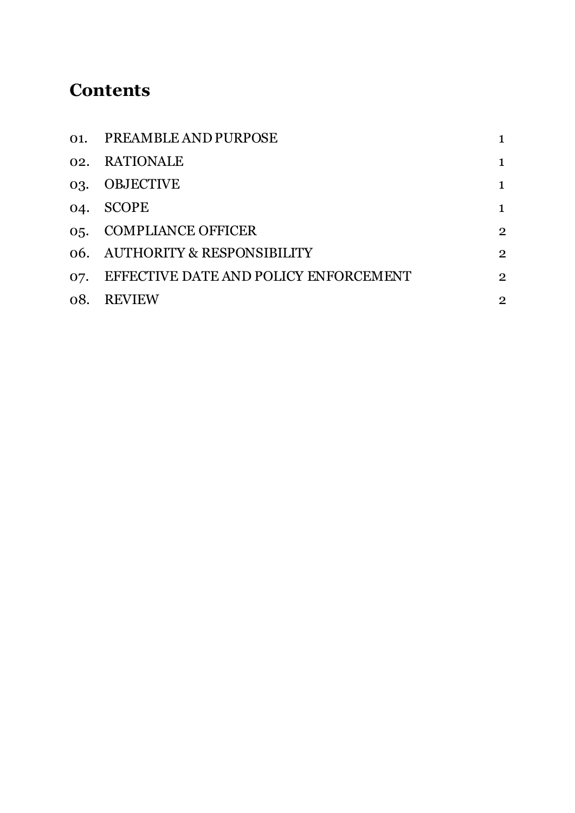# **Contents**

|     | 01. PREAMBLE AND PURPOSE              |                |
|-----|---------------------------------------|----------------|
|     | 02. RATIONALE                         |                |
| 03. | OBJECTIVE                             |                |
|     | 04. SCOPE                             |                |
|     | 05. COMPLIANCE OFFICER                | $\overline{2}$ |
|     | 06. AUTHORITY & RESPONSIBILITY        | $\overline{2}$ |
| 07. | EFFECTIVE DATE AND POLICY ENFORCEMENT | $\overline{2}$ |
|     | 08. REVIEW                            | $\overline{2}$ |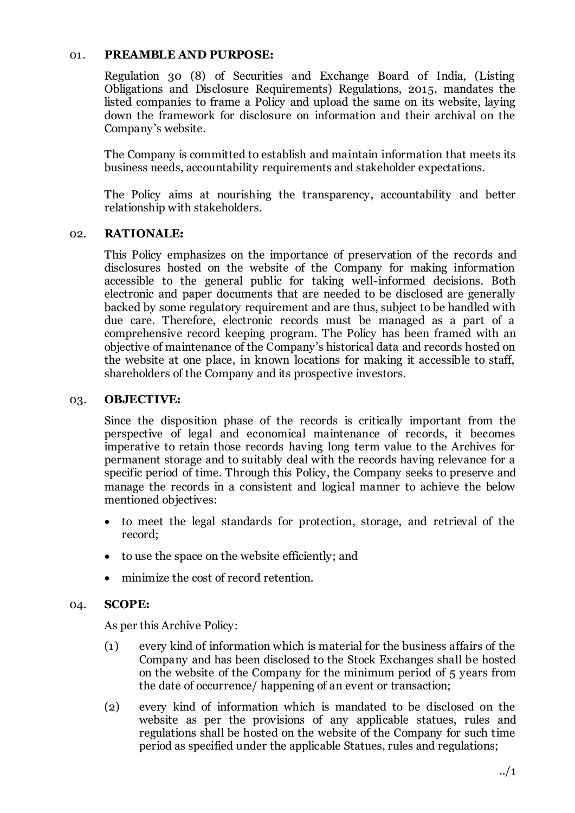#### 01. **PREAMBLE AND PURPOSE:**

Regulation 30 (8) of Securities and Exchange Board of India, (Listing Obligations and Disclosure Requirements) Regulations, 2015, mandates the listed companies to frame a Policy and upload the same on its website, laying down the framework for disclosure on information and their archival on the Company's website.

The Company is committed to establish and maintain information that meets its business needs, accountability requirements and stakeholder expectations.

The Policy aims at nourishing the transparency, accountability and better relationship with stakeholders.

#### 02. **RATIONALE:**

This Policy emphasizes on the importance of preservation of the records and disclosures hosted on the website of the Company for making information accessible to the general public for taking well-informed decisions. Both electronic and paper documents that are needed to be disclosed are generally backed by some regulatory requirement and are thus, subject to be handled with due care. Therefore, electronic records must be managed as a part of a comprehensive record keeping program. The Policy has been framed with an objective of maintenance of the Company's historical data and records hosted on the website at one place, in known locations for making it accessible to staff, shareholders of the Company and its prospective investors.

#### 03. **OBJECTIVE:**

Since the disposition phase of the records is critically important from the perspective of legal and economical maintenance of records, it becomes imperative to retain those records having long term value to the Archives for permanent storage and to suitably deal with the records having relevance for a specific period of time. Through this Policy, the Company seeks to preserve and manage the records in a consistent and logical manner to achieve the below mentioned objectives:

- to meet the legal standards for protection, storage, and retrieval of the record;
- to use the space on the website efficiently; and
- minimize the cost of record retention.

#### 04. **SCOPE:**

As per this Archive Policy:

- (1) every kind of information which is material for the business affairs of the Company and has been disclosed to the Stock Exchanges shall be hosted on the website of the Company for the minimum period of 5 years from the date of occurrence/ happening of an event or transaction;
- (2) every kind of information which is mandated to be disclosed on the website as per the provisions of any applicable statues, rules and regulations shall be hosted on the website of the Company for such time period as specified under the applicable Statues, rules and regulations;